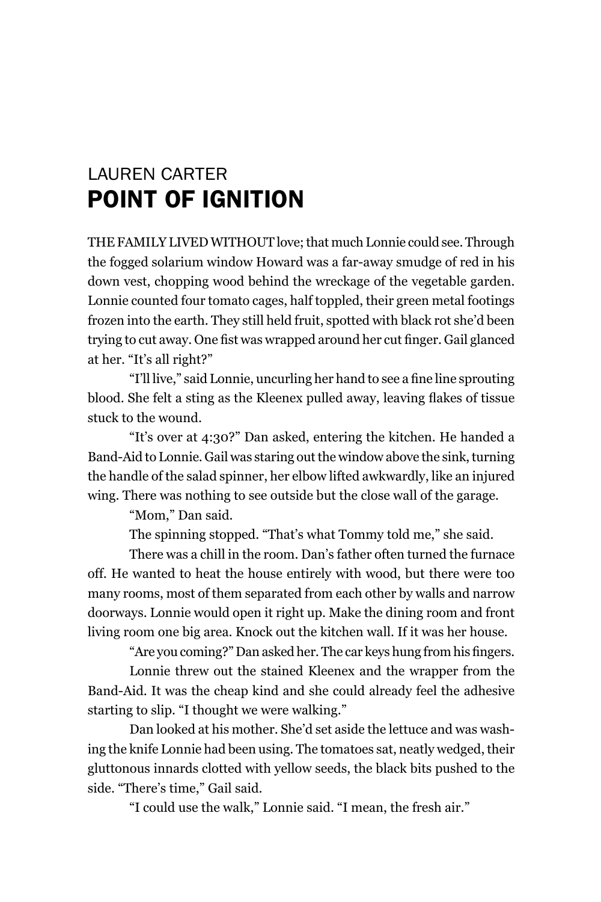## LAurEn cArTEr Point of ignition

THE FAMILY LIVED WITHOUT love; that much Lonnie could see. Through the fogged solarium window howard was a far-away smudge of red in his down vest, chopping wood behind the wreckage of the vegetable garden. lonnie counted four tomato cages, half toppled, their green metal footings frozen into the earth. They still held fruit, spotted with black rot she'd been trying to cut away. One fist was wrapped around her cut finger. Gail glanced at her. "It's all right?"

"I'll live," said Lonnie, uncurling her hand to see a fine line sprouting blood. She felt a sting as the Kleenex pulled away, leaving flakes of tissue stuck to the wound.

"It's over at 4:30?" Dan asked, entering the kitchen. he handed a Band-Aid to Lonnie. Gail was staring out the window above the sink, turning the handle of the salad spinner, her elbow lifted awkwardly, like an injured wing. There was nothing to see outside but the close wall of the garage.

"Mom." Dan said.

The spinning stopped. "That's what Tommy told me," she said.

There was a chill in the room. Dan's father often turned the furnace off. he wanted to heat the house entirely with wood, but there were too many rooms, most of them separated from each other by walls and narrow doorways. lonnie would open it right up. make the dining room and front living room one big area. Knock out the kitchen wall. If it was her house.

"Are you coming?" Dan asked her. The car keys hung from his fingers.

lonnie threw out the stained Kleenex and the wrapper from the Band-Aid. It was the cheap kind and she could already feel the adhesive starting to slip. "I thought we were walking."

Dan looked at his mother. She'd set aside the lettuce and was washing the knife lonnie had been using. The tomatoes sat, neatly wedged, their gluttonous innards clotted with yellow seeds, the black bits pushed to the side. "There's time," Gail said.

"I could use the walk," lonnie said. "I mean, the fresh air."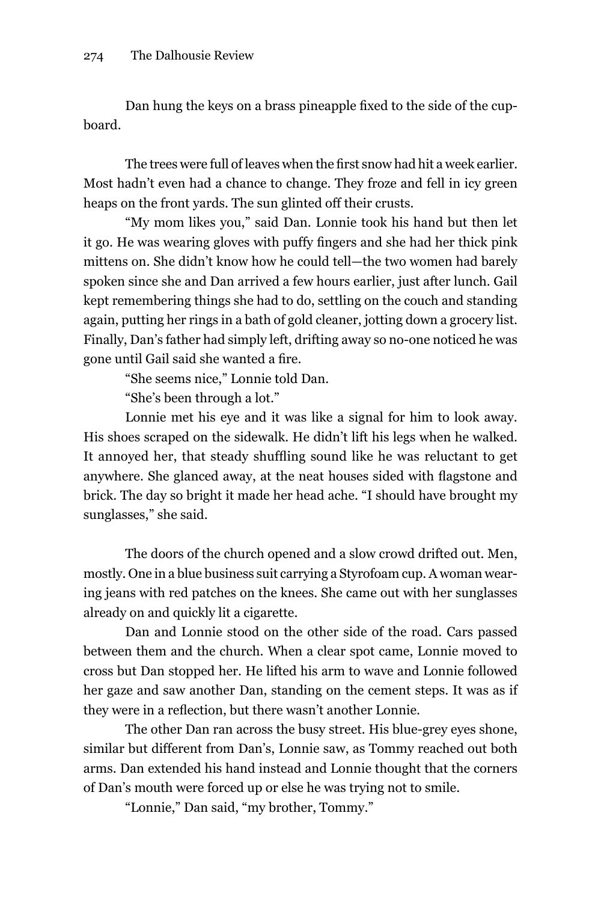Dan hung the keys on a brass pineapple fixed to the side of the cupboard.

The trees were full of leaves when the first snow had hit a week earlier. most hadn't even had a chance to change. They froze and fell in icy green heaps on the front yards. The sun glinted off their crusts.

"my mom likes you," said Dan. lonnie took his hand but then let it go. He was wearing gloves with puffy fingers and she had her thick pink mittens on. She didn't know how he could tell—the two women had barely spoken since she and Dan arrived a few hours earlier, just after lunch. Gail kept remembering things she had to do, settling on the couch and standing again, putting her rings in a bath of gold cleaner, jotting down a grocery list. Finally, Dan's father had simply left, drifting away so no-one noticed he was gone until Gail said she wanted a fire.

"She seems nice," lonnie told Dan.

"She's been through a lot."

lonnie met his eye and it was like a signal for him to look away. His shoes scraped on the sidewalk. He didn't lift his legs when he walked. It annoyed her, that steady shuffling sound like he was reluctant to get anywhere. She glanced away, at the neat houses sided with flagstone and brick. The day so bright it made her head ache. "I should have brought my sunglasses," she said.

The doors of the church opened and a slow crowd drifted out. Men, mostly. One in a blue business suit carrying a Styrofoam cup. A woman wearing jeans with red patches on the knees. She came out with her sunglasses already on and quickly lit a cigarette.

Dan and lonnie stood on the other side of the road. Cars passed between them and the church. When a clear spot came, lonnie moved to cross but Dan stopped her. he lifted his arm to wave and lonnie followed her gaze and saw another Dan, standing on the cement steps. It was as if they were in a reflection, but there wasn't another Lonnie.

The other Dan ran across the busy street. His blue-grey eyes shone, similar but different from Dan's, lonnie saw, as Tommy reached out both arms. Dan extended his hand instead and lonnie thought that the corners of Dan's mouth were forced up or else he was trying not to smile.

"lonnie," Dan said, "my brother, Tommy."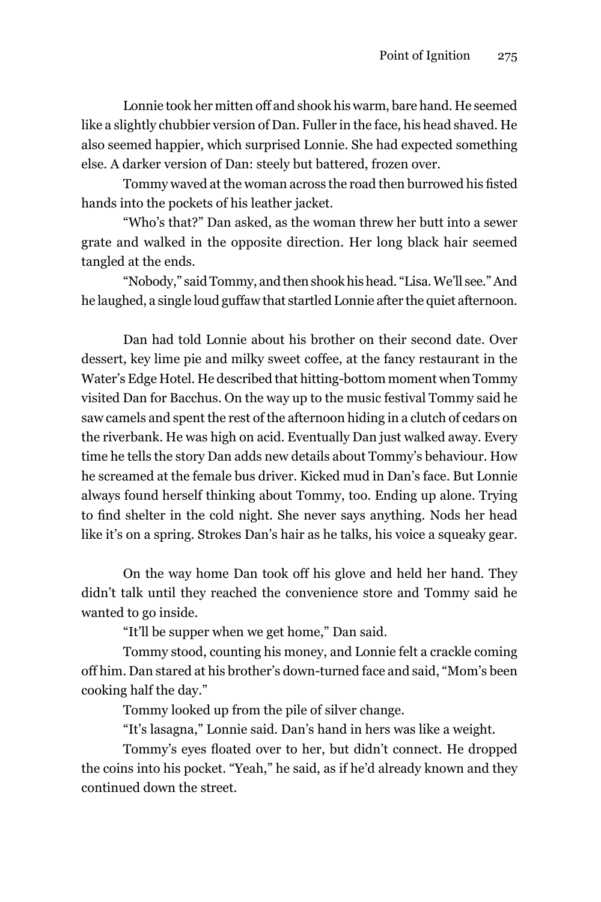Lonnie took her mitten off and shook his warm, bare hand. He seemed like a slightly chubbier version of Dan. Fuller in the face, his head shaved. He also seemed happier, which surprised lonnie. She had expected something else. A darker version of Dan: steely but battered, frozen over.

Tommy waved at the woman across the road then burrowed his fisted hands into the pockets of his leather jacket.

"Who's that?" Dan asked, as the woman threw her butt into a sewer grate and walked in the opposite direction. her long black hair seemed tangled at the ends.

"Nobody," said Tommy, and then shook his head. "Lisa. We'll see." And he laughed, a single loud guffaw that startled lonnie after the quiet afternoon.

Dan had told Lonnie about his brother on their second date. Over dessert, key lime pie and milky sweet coffee, at the fancy restaurant in the Water's Edge Hotel. He described that hitting-bottom moment when Tommy visited Dan for Bacchus. on the way up to the music festival Tommy said he saw camels and spent the rest of the afternoon hiding in a clutch of cedars on the riverbank. He was high on acid. Eventually Dan just walked away. Every time he tells the story Dan adds new details about Tommy's behaviour. how he screamed at the female bus driver. Kicked mud in Dan's face. But lonnie always found herself thinking about Tommy, too. ending up alone. Trying to find shelter in the cold night. She never says anything. Nods her head like it's on a spring. Strokes Dan's hair as he talks, his voice a squeaky gear.

on the way home Dan took off his glove and held her hand. They didn't talk until they reached the convenience store and Tommy said he wanted to go inside.

"It'll be supper when we get home," Dan said.

Tommy stood, counting his money, and lonnie felt a crackle coming off him. Dan stared at his brother's down-turned face and said, "mom's been cooking half the day."

Tommy looked up from the pile of silver change.

"It's lasagna," lonnie said. Dan's hand in hers was like a weight.

Tommy's eyes floated over to her, but didn't connect. He dropped the coins into his pocket. "Yeah," he said, as if he'd already known and they continued down the street.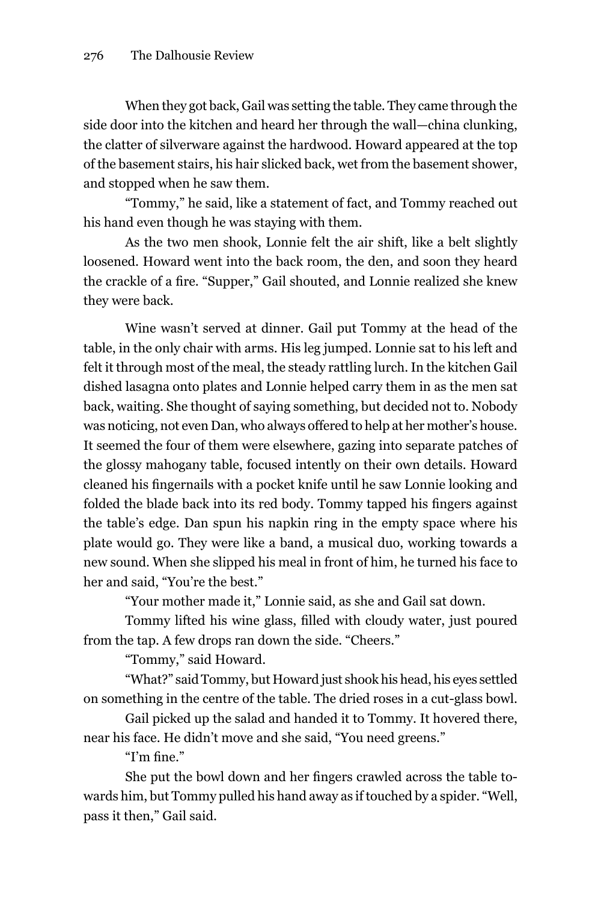When they got back, Gail was setting the table. They came through the side door into the kitchen and heard her through the wall—china clunking, the clatter of silverware against the hardwood. howard appeared at the top of the basement stairs, his hair slicked back, wet from the basement shower, and stopped when he saw them.

"Tommy," he said, like a statement of fact, and Tommy reached out his hand even though he was staying with them.

As the two men shook, lonnie felt the air shift, like a belt slightly loosened. howard went into the back room, the den, and soon they heard the crackle of a fire. "Supper," Gail shouted, and Lonnie realized she knew they were back.

Wine wasn't served at dinner. Gail put Tommy at the head of the table, in the only chair with arms. His leg jumped. Lonnie sat to his left and felt it through most of the meal, the steady rattling lurch. In the kitchen Gail dished lasagna onto plates and lonnie helped carry them in as the men sat back, waiting. She thought of saying something, but decided not to. Nobody was noticing, not even Dan, who always offered to help at her mother's house. It seemed the four of them were elsewhere, gazing into separate patches of the glossy mahogany table, focused intently on their own details. howard cleaned his fingernails with a pocket knife until he saw Lonnie looking and folded the blade back into its red body. Tommy tapped his fingers against the table's edge. Dan spun his napkin ring in the empty space where his plate would go. They were like a band, a musical duo, working towards a new sound. When she slipped his meal in front of him, he turned his face to her and said, "You're the best."

"Your mother made it," lonnie said, as she and gail sat down.

Tommy lifted his wine glass, filled with cloudy water, just poured from the tap. A few drops ran down the side. "Cheers."

"Tommy," said howard.

"What?" said Tommy, but howard just shook his head, his eyes settled on something in the centre of the table. The dried roses in a cut-glass bowl.

Gail picked up the salad and handed it to Tommy. It hovered there, near his face. he didn't move and she said, "You need greens."

"I'm fine."

She put the bowl down and her fingers crawled across the table towards him, but Tommy pulled his hand away as if touched by a spider. "Well, pass it then," Gail said.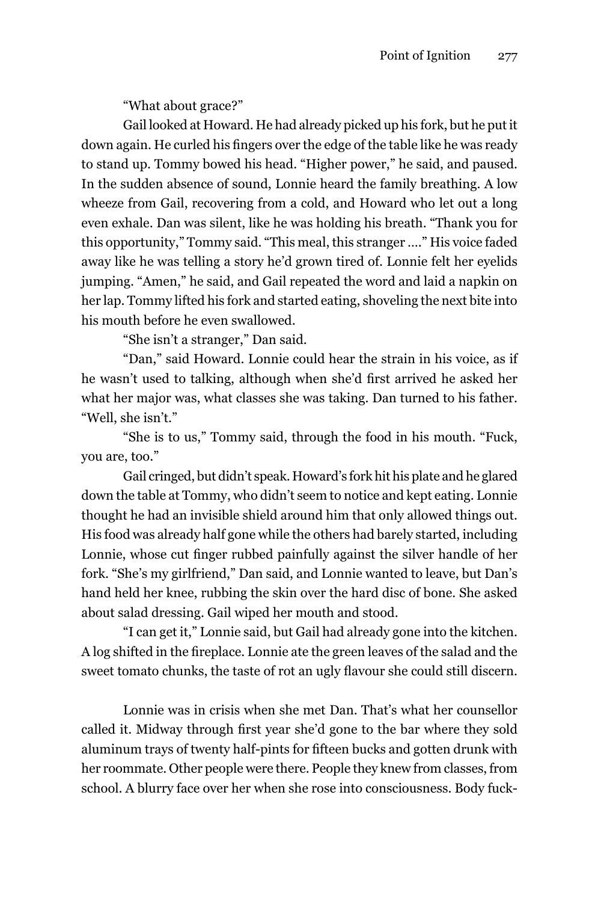"What about grace?"

Gail looked at Howard. He had already picked up his fork, but he put it down again. He curled his fingers over the edge of the table like he was ready to stand up. Tommy bowed his head. "Higher power," he said, and paused. In the sudden absence of sound, lonnie heard the family breathing. A low wheeze from Gail, recovering from a cold, and Howard who let out a long even exhale. Dan was silent, like he was holding his breath. "Thank you for this opportunity," Tommy said. "This meal, this stranger …." his voice faded away like he was telling a story he'd grown tired of. lonnie felt her eyelids jumping. "Amen," he said, and gail repeated the word and laid a napkin on her lap. Tommy lifted his fork and started eating, shoveling the next bite into his mouth before he even swallowed.

"She isn't a stranger," Dan said.

"Dan," said howard. lonnie could hear the strain in his voice, as if he wasn't used to talking, although when she'd first arrived he asked her what her major was, what classes she was taking. Dan turned to his father. "Well, she isn't."

"She is to us," Tommy said, through the food in his mouth. "Fuck, you are, too."

Gail cringed, but didn't speak. Howard's fork hit his plate and he glared down the table at Tommy, who didn't seem to notice and kept eating. lonnie thought he had an invisible shield around him that only allowed things out. his food was already half gone while the others had barely started, including Lonnie, whose cut finger rubbed painfully against the silver handle of her fork. "She's my girlfriend," Dan said, and lonnie wanted to leave, but Dan's hand held her knee, rubbing the skin over the hard disc of bone. She asked about salad dressing. Gail wiped her mouth and stood.

"I can get it," lonnie said, but gail had already gone into the kitchen. A log shifted in the fireplace. Lonnie ate the green leaves of the salad and the sweet tomato chunks, the taste of rot an ugly flavour she could still discern.

lonnie was in crisis when she met Dan. That's what her counsellor called it. Midway through first year she'd gone to the bar where they sold aluminum trays of twenty half-pints for fifteen bucks and gotten drunk with her roommate. other people were there. People they knew from classes, from school. A blurry face over her when she rose into consciousness. Body fuck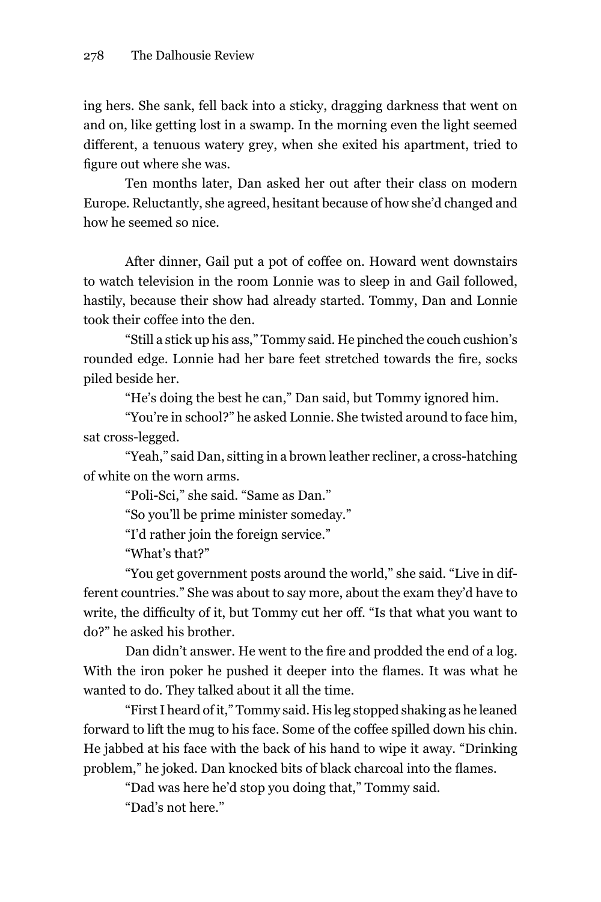ing hers. She sank, fell back into a sticky, dragging darkness that went on and on, like getting lost in a swamp. In the morning even the light seemed different, a tenuous watery grey, when she exited his apartment, tried to figure out where she was.

Ten months later, Dan asked her out after their class on modern Europe. Reluctantly, she agreed, hesitant because of how she'd changed and how he seemed so nice.

After dinner, Gail put a pot of coffee on. Howard went downstairs to watch television in the room lonnie was to sleep in and gail followed, hastily, because their show had already started. Tommy, Dan and lonnie took their coffee into the den.

"Still a stick up his ass," Tommy said. he pinched the couch cushion's rounded edge. Lonnie had her bare feet stretched towards the fire, socks piled beside her.

"he's doing the best he can," Dan said, but Tommy ignored him.

"You're in school?" he asked lonnie. She twisted around to face him, sat cross-legged.

"Yeah," said Dan, sitting in a brown leather recliner, a cross-hatching of white on the worn arms.

"Poli-Sci," she said. "Same as Dan."

"So you'll be prime minister someday."

"I'd rather join the foreign service."

"What's that?"

"You get government posts around the world," she said. "live in different countries." She was about to say more, about the exam they'd have to write, the difficulty of it, but Tommy cut her off. "Is that what you want to do?" he asked his brother.

Dan didn't answer. He went to the fire and prodded the end of a log. With the iron poker he pushed it deeper into the flames. It was what he wanted to do. They talked about it all the time.

"First I heard of it," Tommy said. his leg stopped shaking as he leaned forward to lift the mug to his face. Some of the coffee spilled down his chin. he jabbed at his face with the back of his hand to wipe it away. "Drinking problem," he joked. Dan knocked bits of black charcoal into the flames.

"Dad was here he'd stop you doing that," Tommy said.

"Dad's not here."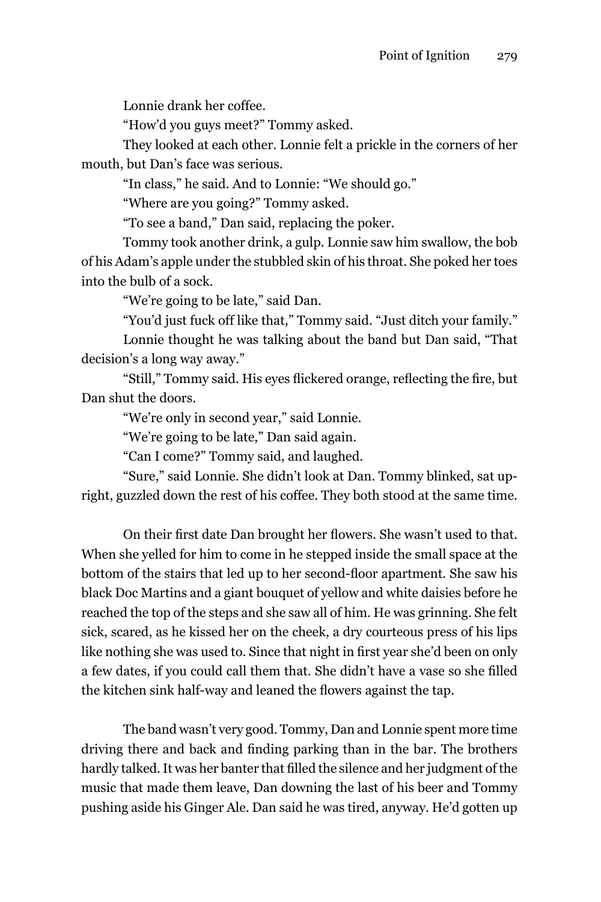lonnie drank her coffee.

"how'd you guys meet?" Tommy asked.

They looked at each other. lonnie felt a prickle in the corners of her mouth, but Dan's face was serious.

"In class," he said. And to lonnie: "We should go."

"Where are you going?" Tommy asked.

"To see a band," Dan said, replacing the poker.

Tommy took another drink, a gulp. lonnie saw him swallow, the bob of his Adam's apple under the stubbled skin of his throat. She poked her toes into the bulb of a sock.

"We're going to be late," said Dan.

"You'd just fuck off like that," Tommy said. "Just ditch your family."

lonnie thought he was talking about the band but Dan said, "That decision's a long way away."

"Still," Tommy said. His eyes flickered orange, reflecting the fire, but Dan shut the doors.

"We're only in second year," said lonnie.

"We're going to be late," Dan said again.

"Can I come?" Tommy said, and laughed.

"Sure," said lonnie. She didn't look at Dan. Tommy blinked, sat upright, guzzled down the rest of his coffee. They both stood at the same time.

On their first date Dan brought her flowers. She wasn't used to that. When she yelled for him to come in he stepped inside the small space at the bottom of the stairs that led up to her second-floor apartment. She saw his black Doc martins and a giant bouquet of yellow and white daisies before he reached the top of the steps and she saw all of him. he was grinning. She felt sick, scared, as he kissed her on the cheek, a dry courteous press of his lips like nothing she was used to. Since that night in first year she'd been on only a few dates, if you could call them that. She didn't have a vase so she filled the kitchen sink half-way and leaned the flowers against the tap.

The band wasn't very good. Tommy, Dan and lonnie spent more time driving there and back and finding parking than in the bar. The brothers hardly talked. It was her banter that filled the silence and her judgment of the music that made them leave, Dan downing the last of his beer and Tommy pushing aside his ginger Ale. Dan said he was tired, anyway. he'd gotten up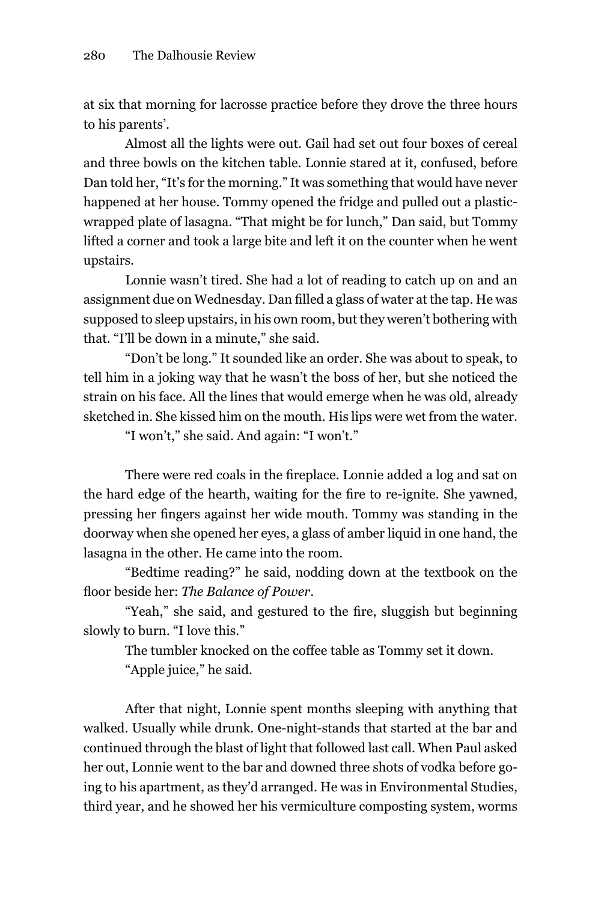at six that morning for lacrosse practice before they drove the three hours to his parents'.

Almost all the lights were out. Gail had set out four boxes of cereal and three bowls on the kitchen table. lonnie stared at it, confused, before Dan told her, "It's for the morning." It was something that would have never happened at her house. Tommy opened the fridge and pulled out a plasticwrapped plate of lasagna. "That might be for lunch," Dan said, but Tommy lifted a corner and took a large bite and left it on the counter when he went upstairs.

Lonnie wasn't tired. She had a lot of reading to catch up on and an assignment due on Wednesday. Dan filled a glass of water at the tap. He was supposed to sleep upstairs, in his own room, but they weren't bothering with that. "I'll be down in a minute," she said.

"Don't be long." It sounded like an order. She was about to speak, to tell him in a joking way that he wasn't the boss of her, but she noticed the strain on his face. All the lines that would emerge when he was old, already sketched in. She kissed him on the mouth. His lips were wet from the water.

"I won't," she said. And again: "I won't."

There were red coals in the fireplace. Lonnie added a log and sat on the hard edge of the hearth, waiting for the fire to re-ignite. She yawned, pressing her fingers against her wide mouth. Tommy was standing in the doorway when she opened her eyes, a glass of amber liquid in one hand, the lasagna in the other. He came into the room.

"Bedtime reading?" he said, nodding down at the textbook on the floor beside her: *The Balance of Power*.

"Yeah," she said, and gestured to the fire, sluggish but beginning slowly to burn. "I love this."

The tumbler knocked on the coffee table as Tommy set it down.

"Apple juice," he said.

After that night, lonnie spent months sleeping with anything that walked. Usually while drunk. One-night-stands that started at the bar and continued through the blast of light that followed last call. When Paul asked her out, lonnie went to the bar and downed three shots of vodka before going to his apartment, as they'd arranged. He was in Environmental Studies, third year, and he showed her his vermiculture composting system, worms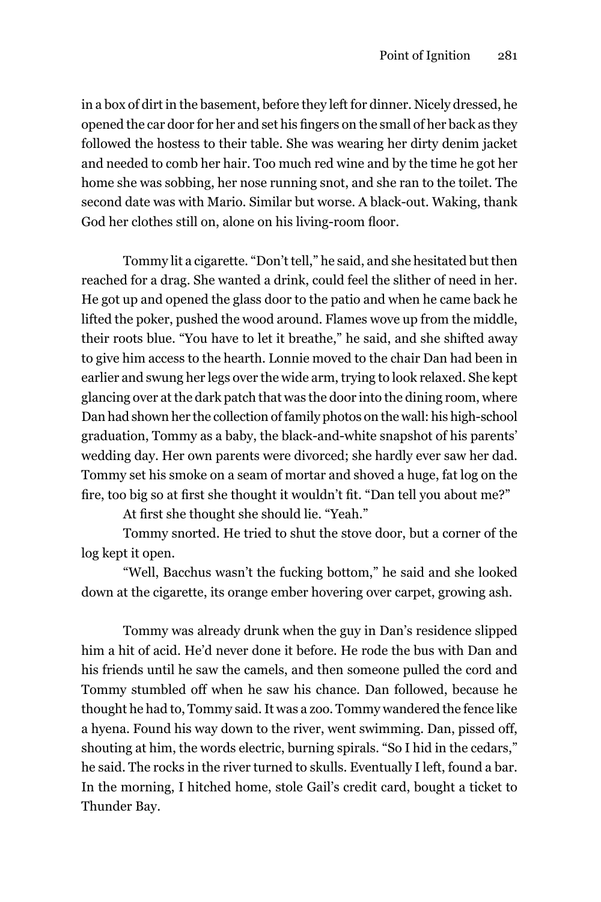in a box of dirt in the basement, before they left for dinner. nicely dressed, he opened the car door for her and set his fingers on the small of her back as they followed the hostess to their table. She was wearing her dirty denim jacket and needed to comb her hair. Too much red wine and by the time he got her home she was sobbing, her nose running snot, and she ran to the toilet. The second date was with mario. Similar but worse. A black-out. Waking, thank God her clothes still on, alone on his living-room floor.

Tommy lit a cigarette. "Don't tell," he said, and she hesitated but then reached for a drag. She wanted a drink, could feel the slither of need in her. he got up and opened the glass door to the patio and when he came back he lifted the poker, pushed the wood around. Flames wove up from the middle, their roots blue. "You have to let it breathe," he said, and she shifted away to give him access to the hearth. lonnie moved to the chair Dan had been in earlier and swung her legs over the wide arm, trying to look relaxed. She kept glancing over at the dark patch that was the door into the dining room, where Dan had shown her the collection of family photos on the wall: his high-school graduation, Tommy as a baby, the black-and-white snapshot of his parents' wedding day. her own parents were divorced; she hardly ever saw her dad. Tommy set his smoke on a seam of mortar and shoved a huge, fat log on the fire, too big so at first she thought it wouldn't fit. "Dan tell you about me?"

At first she thought she should lie. "Yeah."

Tommy snorted. he tried to shut the stove door, but a corner of the log kept it open.

"Well, Bacchus wasn't the fucking bottom," he said and she looked down at the cigarette, its orange ember hovering over carpet, growing ash.

Tommy was already drunk when the guy in Dan's residence slipped him a hit of acid. He'd never done it before. He rode the bus with Dan and his friends until he saw the camels, and then someone pulled the cord and Tommy stumbled off when he saw his chance. Dan followed, because he thought he had to, Tommy said. It was a zoo. Tommy wandered the fence like a hyena. Found his way down to the river, went swimming. Dan, pissed off, shouting at him, the words electric, burning spirals. "So I hid in the cedars," he said. The rocks in the river turned to skulls. Eventually I left, found a bar. In the morning, I hitched home, stole gail's credit card, bought a ticket to Thunder Bay.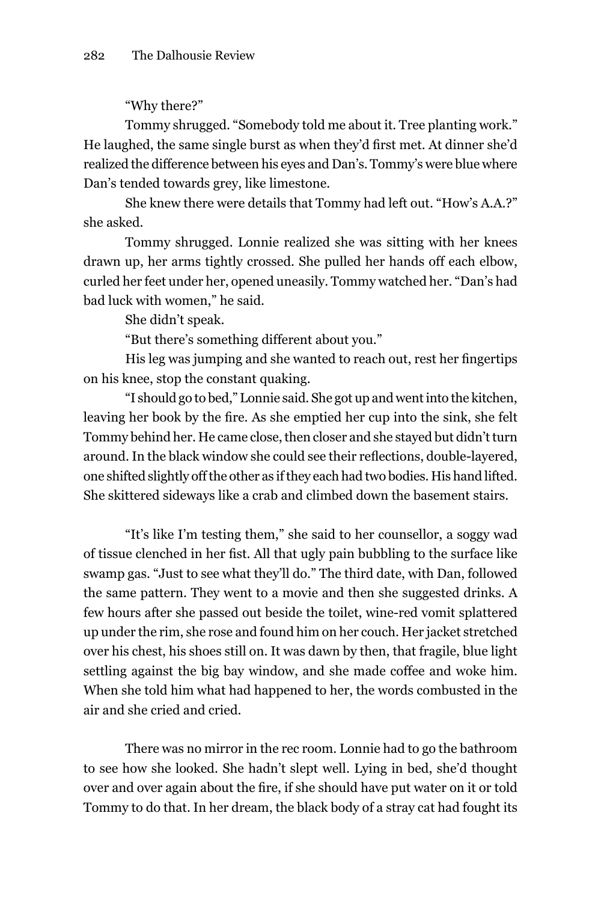"Why there?"

Tommy shrugged. "Somebody told me about it. Tree planting work." He laughed, the same single burst as when they'd first met. At dinner she'd realized the difference between his eyes and Dan's. Tommy's were blue where Dan's tended towards grey, like limestone.

She knew there were details that Tommy had left out. "How's A.A.?" she asked.

Tommy shrugged. lonnie realized she was sitting with her knees drawn up, her arms tightly crossed. She pulled her hands off each elbow, curled her feet under her, opened uneasily. Tommy watched her. "Dan's had bad luck with women," he said.

She didn't speak.

"But there's something different about you."

His leg was jumping and she wanted to reach out, rest her fingertips on his knee, stop the constant quaking.

"I should go to bed," lonnie said. She got up and went into the kitchen, leaving her book by the fire. As she emptied her cup into the sink, she felt Tommy behind her. he came close, then closer and she stayed but didn't turn around. In the black window she could see their reflections, double-layered, one shifted slightly off the other as if they each had two bodies. His hand lifted. She skittered sideways like a crab and climbed down the basement stairs.

"It's like I'm testing them," she said to her counsellor, a soggy wad of tissue clenched in her fist. All that ugly pain bubbling to the surface like swamp gas. "Just to see what they'll do." The third date, with Dan, followed the same pattern. They went to a movie and then she suggested drinks. A few hours after she passed out beside the toilet, wine-red vomit splattered up under the rim, she rose and found him on her couch. her jacket stretched over his chest, his shoes still on. It was dawn by then, that fragile, blue light settling against the big bay window, and she made coffee and woke him. When she told him what had happened to her, the words combusted in the air and she cried and cried.

There was no mirror in the rec room. lonnie had to go the bathroom to see how she looked. She hadn't slept well. lying in bed, she'd thought over and over again about the fire, if she should have put water on it or told Tommy to do that. In her dream, the black body of a stray cat had fought its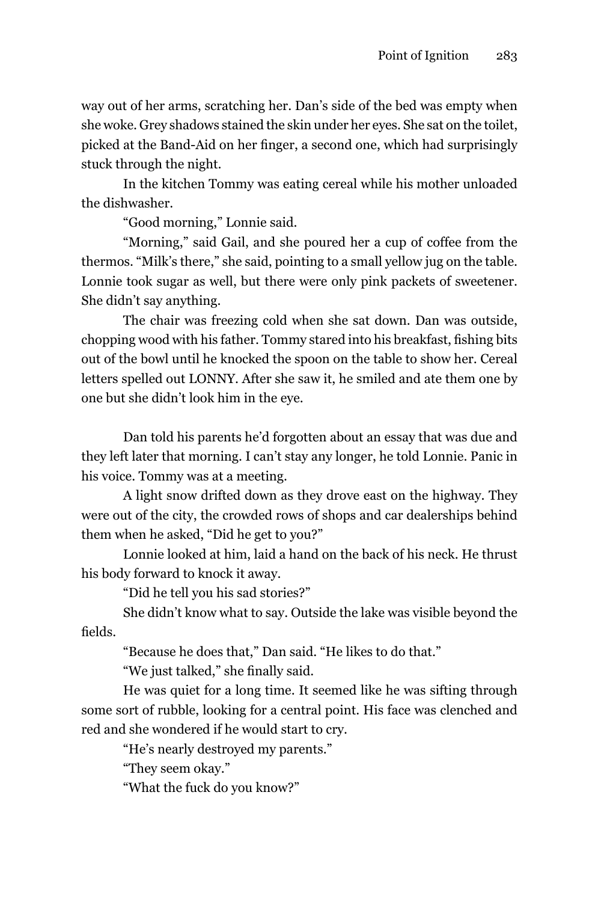way out of her arms, scratching her. Dan's side of the bed was empty when she woke. Grey shadows stained the skin under her eyes. She sat on the toilet, picked at the Band-Aid on her finger, a second one, which had surprisingly stuck through the night.

In the kitchen Tommy was eating cereal while his mother unloaded the dishwasher.

"good morning," lonnie said.

"morning," said gail, and she poured her a cup of coffee from the thermos. "milk's there," she said, pointing to a small yellow jug on the table. lonnie took sugar as well, but there were only pink packets of sweetener. She didn't say anything.

The chair was freezing cold when she sat down. Dan was outside, chopping wood with his father. Tommy stared into his breakfast, fishing bits out of the bowl until he knocked the spoon on the table to show her. Cereal letters spelled out LONNY. After she saw it, he smiled and ate them one by one but she didn't look him in the eye.

Dan told his parents he'd forgotten about an essay that was due and they left later that morning. I can't stay any longer, he told lonnie. Panic in his voice. Tommy was at a meeting.

A light snow drifted down as they drove east on the highway. They were out of the city, the crowded rows of shops and car dealerships behind them when he asked, "Did he get to you?"

Lonnie looked at him, laid a hand on the back of his neck. He thrust his body forward to knock it away.

"Did he tell you his sad stories?"

She didn't know what to say. Outside the lake was visible beyond the fields.

"Because he does that," Dan said. "he likes to do that."

"We just talked," she finally said.

he was quiet for a long time. It seemed like he was sifting through some sort of rubble, looking for a central point. His face was clenched and red and she wondered if he would start to cry.

"he's nearly destroyed my parents."

"They seem okay."

"What the fuck do you know?"